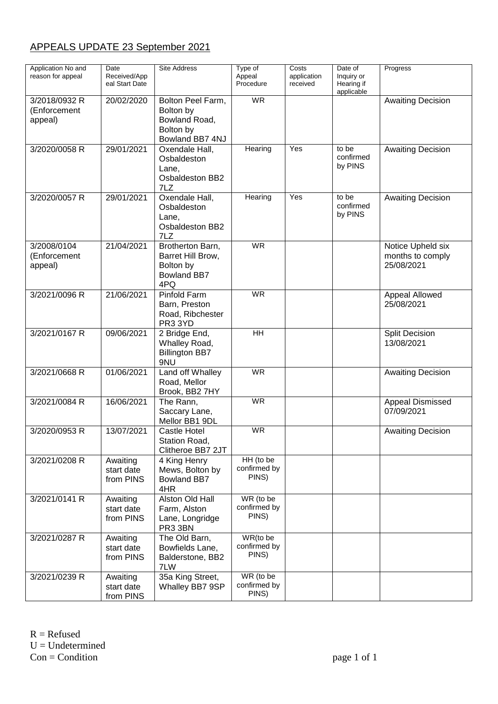## APPEALS UPDATE 23 September 2021

| Application No and<br>reason for appeal  | Date<br>Received/App<br>eal Start Date | <b>Site Address</b>                                                             | Type of<br>Appeal<br>Procedure     | Costs<br>application<br>received | Date of<br>Inquiry or<br>Hearing if<br>applicable | Progress                                            |
|------------------------------------------|----------------------------------------|---------------------------------------------------------------------------------|------------------------------------|----------------------------------|---------------------------------------------------|-----------------------------------------------------|
| 3/2018/0932 R<br>(Enforcement<br>appeal) | 20/02/2020                             | Bolton Peel Farm,<br>Bolton by<br>Bowland Road,<br>Bolton by<br>Bowland BB7 4NJ | <b>WR</b>                          |                                  |                                                   | <b>Awaiting Decision</b>                            |
| 3/2020/0058 R                            | 29/01/2021                             | Oxendale Hall,<br>Osbaldeston<br>Lane,<br>Osbaldeston BB2<br>7LZ                | Hearing                            | Yes                              | to be<br>confirmed<br>by PINS                     | <b>Awaiting Decision</b>                            |
| 3/2020/0057 R                            | 29/01/2021                             | Oxendale Hall,<br>Osbaldeston<br>Lane,<br>Osbaldeston BB2<br>7LZ                | Hearing                            | Yes                              | to be<br>confirmed<br>by PINS                     | <b>Awaiting Decision</b>                            |
| 3/2008/0104<br>(Enforcement<br>appeal)   | 21/04/2021                             | Brotherton Barn,<br>Barret Hill Brow,<br>Bolton by<br><b>Bowland BB7</b><br>4PQ | W <sub>R</sub>                     |                                  |                                                   | Notice Upheld six<br>months to comply<br>25/08/2021 |
| 3/2021/0096 R                            | 21/06/2021                             | Pinfold Farm<br>Barn, Preston<br>Road, Ribchester<br>PR3 3YD                    | <b>WR</b>                          |                                  |                                                   | Appeal Allowed<br>25/08/2021                        |
| 3/2021/0167 R                            | 09/06/2021                             | 2 Bridge End,<br>Whalley Road,<br><b>Billington BB7</b><br>9NU                  | $\overline{H}$                     |                                  |                                                   | <b>Split Decision</b><br>13/08/2021                 |
| 3/2021/0668 R                            | 01/06/2021                             | Land off Whalley<br>Road, Mellor<br>Brook, BB2 7HY                              | <b>WR</b>                          |                                  |                                                   | <b>Awaiting Decision</b>                            |
| 3/2021/0084 R                            | 16/06/2021                             | The Rann,<br>Saccary Lane,<br>Mellor BB1 9DL                                    | <b>WR</b>                          |                                  |                                                   | <b>Appeal Dismissed</b><br>07/09/2021               |
| 3/2020/0953 R                            | 13/07/2021                             | Castle Hotel<br>Station Road,<br>Clitheroe BB7 2JT                              | <b>WR</b>                          |                                  |                                                   | <b>Awaiting Decision</b>                            |
| 3/2021/0208 R                            | Awaiting<br>start date<br>from PINS    | 4 King Henry<br>Mews, Bolton by<br><b>Bowland BB7</b><br>4HR                    | HH (to be<br>confirmed by<br>PINS) |                                  |                                                   |                                                     |
| 3/2021/0141 R                            | Awaiting<br>start date<br>from PINS    | Alston Old Hall<br>Farm, Alston<br>Lane, Longridge<br>PR3 3BN                   | WR (to be<br>confirmed by<br>PINS) |                                  |                                                   |                                                     |
| 3/2021/0287 R                            | Awaiting<br>start date<br>from PINS    | The Old Barn,<br>Bowfields Lane,<br>Balderstone, BB2<br>7LW                     | WR(to be<br>confirmed by<br>PINS)  |                                  |                                                   |                                                     |
| 3/2021/0239 R                            | Awaiting<br>start date<br>from PINS    | 35a King Street,<br>Whalley BB7 9SP                                             | WR (to be<br>confirmed by<br>PINS) |                                  |                                                   |                                                     |